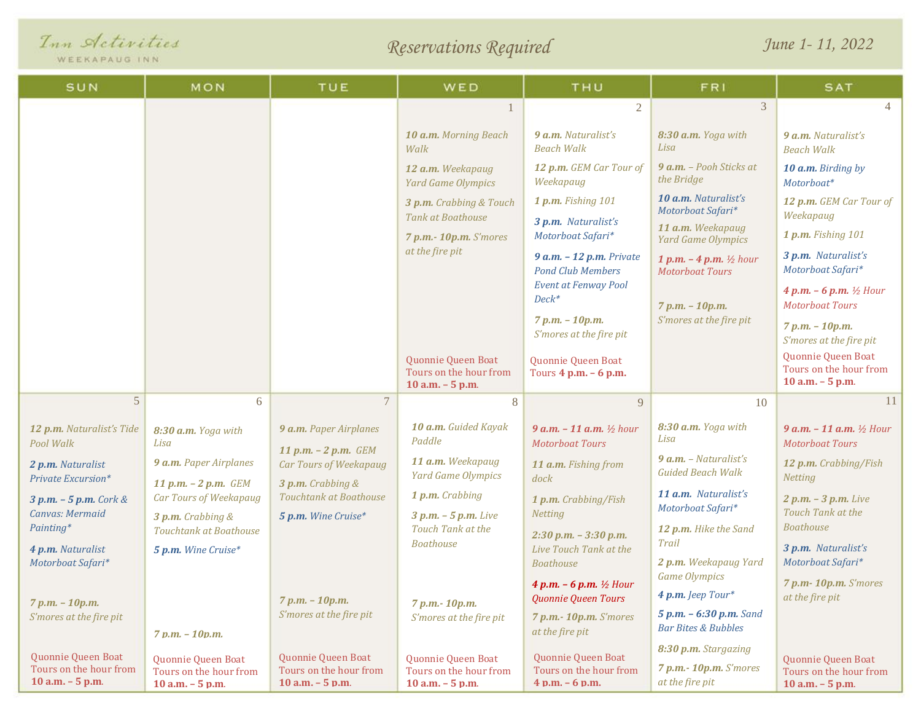|  | Inn Activities |
|--|----------------|
|  |                |

WEEKAPAUG INN

*Reservations Required*

*June 1- 11, 2022*

| SUN                                           | MON                                                              | TUE                                                  | WED                                                                                                                             | THU                                                             | FR1                                                            | <b>SAT</b>                                                       |  |
|-----------------------------------------------|------------------------------------------------------------------|------------------------------------------------------|---------------------------------------------------------------------------------------------------------------------------------|-----------------------------------------------------------------|----------------------------------------------------------------|------------------------------------------------------------------|--|
|                                               |                                                                  |                                                      |                                                                                                                                 | $\overline{2}$                                                  | 3                                                              | $\overline{4}$                                                   |  |
|                                               |                                                                  |                                                      | 10 a.m. Morning Beach<br>Walk                                                                                                   | 9 a.m. Naturalist's<br><b>Beach Walk</b>                        | 8:30 a.m. Yoga with<br>Lisa                                    | 9 a.m. Naturalist's<br><b>Beach Walk</b>                         |  |
|                                               |                                                                  |                                                      | 12 a.m. Weekapaug<br><b>Yard Game Olympics</b>                                                                                  | 12 p.m. GEM Car Tour of<br>Weekapaug                            | 9 a.m. - Pooh Sticks at<br>the Bridge                          | 10 a.m. Birding by<br>Motorboat*                                 |  |
|                                               |                                                                  |                                                      | 3 p.m. Crabbing & Touch                                                                                                         | 1 p.m. Fishing 101                                              | 10 a.m. Naturalist's<br>Motorboat Safari*                      | 12 p.m. GEM Car Tour of                                          |  |
|                                               |                                                                  |                                                      | Tank at Boathouse<br>7 p.m.- 10p.m. S'mores                                                                                     | 3 p.m. Naturalist's<br>Motorboat Safari*                        | 11 a.m. Weekapaug<br><b>Yard Game Olympics</b>                 | Weekapaug<br>1 p.m. Fishing 101                                  |  |
|                                               |                                                                  |                                                      | at the fire pit                                                                                                                 | $9$ a.m. $-$ 12 p.m. Private<br><b>Pond Club Members</b>        | 1 p.m. $-$ 4 p.m. $\frac{1}{2}$ hour<br><b>Motorboat Tours</b> | 3 p.m. Naturalist's<br>Motorboat Safari*                         |  |
|                                               |                                                                  |                                                      | Event at Fenway Pool<br>$Deck^*$<br>7 p.m. - 10p.m.<br>S'mores at the fire pit<br>$7 p.m. - 10 p.m.$<br>S'mores at the fire pit |                                                                 |                                                                | 4 p.m. $-6$ p.m. $\frac{1}{2}$ Hour<br><b>Motorboat Tours</b>    |  |
|                                               |                                                                  |                                                      |                                                                                                                                 |                                                                 |                                                                | 7 p.m. - 10p.m.<br>S'mores at the fire pit                       |  |
|                                               |                                                                  |                                                      | Quonnie Queen Boat<br>Tours on the hour from<br>$10$ a.m. $-5$ p.m.                                                             | Quonnie Queen Boat<br>Tours $4$ p.m. $-6$ p.m.                  |                                                                | Quonnie Queen Boat<br>Tours on the hour from<br>10 a.m. - 5 p.m. |  |
| 5                                             | 6                                                                | $\tau$                                               | 8                                                                                                                               | 9                                                               | 10                                                             | <sup>11</sup>                                                    |  |
| 12 p.m. Naturalist's Tide<br>Pool Walk        | 8:30 a.m. Yoga with<br>Lisa                                      | 9 a.m. Paper Airplanes<br>11 p.m. $- 2$ p.m. GEM     | 10 a.m. Guided Kayak<br>Paddle                                                                                                  | 9 $a.m. - 11 a.m.$ $\frac{1}{2} hour$<br><b>Motorboat Tours</b> | 8:30 a.m. Yoga with<br>Lisa                                    | 9 $a.m. - 11 a.m.$ $\frac{1}{2}$ Hour<br><b>Motorboat Tours</b>  |  |
| 2 p.m. Naturalist<br>Private Excursion*       | 9 a.m. Paper Airplanes                                           | <b>Car Tours of Weekapaug</b><br>$3 p.m.$ Crabbing & | 11 a.m. Weekapaug<br><b>Yard Game Olympics</b>                                                                                  | 11 a.m. Fishing from<br>dock                                    | $9$ a.m. - Naturalist's<br><b>Guided Beach Walk</b>            | 12 p.m. Crabbing/Fish<br>Netting                                 |  |
| $3 p.m. - 5 p.m.$ Cork &                      | 11 p.m. $- 2$ p.m. GEM<br>Car Tours of Weekapaug                 | Touchtank at Boathouse                               | 1 p.m. Crabbing                                                                                                                 | 1 p.m. Crabbing/Fish                                            | 11 a.m. Naturalist's<br>Motorboat Safari*                      | $2 p.m. - 3 p.m.$ Live                                           |  |
| Canvas: Mermaid<br>Painting*                  | 3 p.m. Crabbing &<br><b>Touchtank at Boathouse</b>               | 5 p.m. Wine Cruise*                                  | $3 p.m. - 5 p.m.$ Live<br>Touch Tank at the                                                                                     | Netting                                                         | 12 p.m. Hike the Sand                                          | Touch Tank at the<br><b>Boathouse</b>                            |  |
| 4 p.m. Naturalist                             | 5 p.m. Wine Cruise*                                              |                                                      | <b>Boathouse</b>                                                                                                                | $2:30$ p.m. $-3:30$ p.m.<br>Live Touch Tank at the              | Trail                                                          | 3 p.m. Naturalist's                                              |  |
| Motorboat Safari*                             |                                                                  |                                                      |                                                                                                                                 | <b>Boathouse</b>                                                | 2 p.m. Weekapaug Yard<br><b>Game Olympics</b>                  | Motorboat Safari*                                                |  |
| 7 p.m. - 10p.m.                               |                                                                  | 7 p.m. - 10p.m.                                      | 7 p.m. - 10p.m.                                                                                                                 | 4 p.m. $-6$ p.m. $\frac{1}{2}$ Hour<br>Quonnie Queen Tours      | 4 p.m. Jeep Tour*                                              | 7 p.m-10p.m. S'mores<br>at the fire pit                          |  |
| S'mores at the fire pit                       | $7 p.m. - 10 p.m.$                                               | S'mores at the fire pit                              | S'mores at the fire pit                                                                                                         | 7 p.m.- 10p.m. S'mores<br>at the fire pit                       | 5 p.m. - 6:30 p.m. Sand<br><b>Bar Bites &amp; Bubbles</b>      |                                                                  |  |
| Quonnie Queen Boat                            |                                                                  | Quonnie Queen Boat                                   | Quonnie Queen Boat                                                                                                              | Quonnie Queen Boat                                              | 8:30 p.m. Stargazing                                           |                                                                  |  |
| Tours on the hour from<br>$10$ a.m. $-5$ p.m. | Quonnie Queen Boat<br>Tours on the hour from<br>10 a.m. - 5 p.m. | Tours on the hour from<br>$10$ a.m. $-5$ p.m.        | Tours on the hour from<br>$10$ a.m. $-5$ p.m.                                                                                   | Tours on the hour from<br>$4 p.m. - 6 p.m.$                     | 7 p.m.- 10p.m. S'mores<br>at the fire pit                      | Quonnie Queen Boat<br>Tours on the hour from<br>10 a.m. - 5 p.m. |  |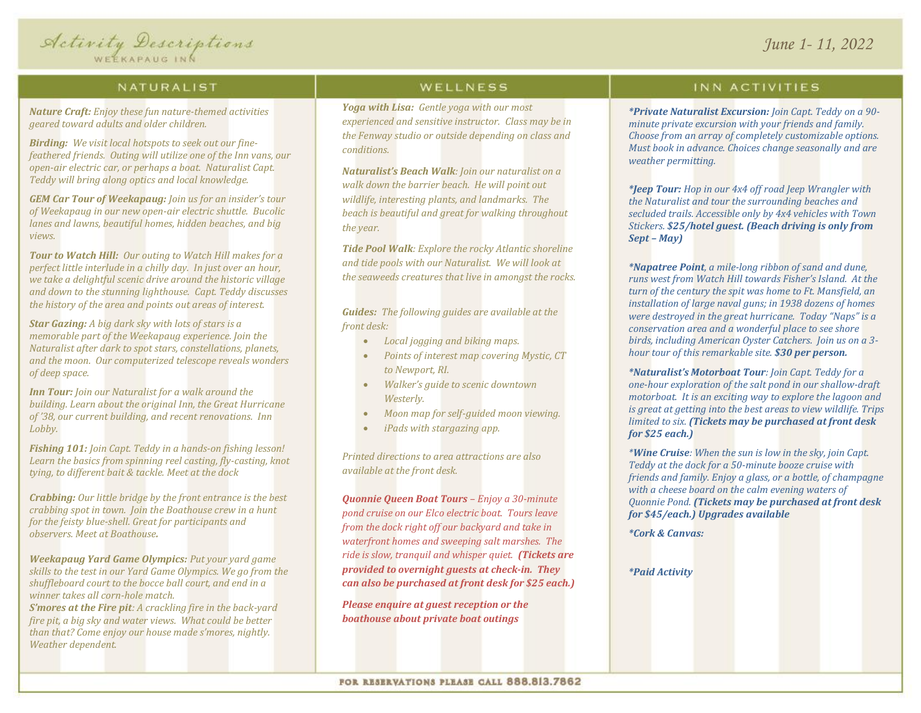#### NATURALIST

*Nature Craft: Enjoy these fun nature-themed activities geared toward adults and older children.* 

*Birding: We visit local hotspots to seek out our finefeathered friends. Outing will utilize one of the Inn vans, our open-air electric car, or perhaps a boat. Naturalist Capt. Teddy will bring along optics and local knowledge.*

*GEM Car Tour of Weekapaug: Join us for an insider's tour of Weekapaug in our new open-air electric shuttle. Bucolic lanes and lawns, beautiful homes, hidden beaches, and big views.* 

*Tour to Watch Hill: Our outing to Watch Hill makes for a perfect little interlude in a chilly day. In just over an hour, we take a delightful scenic drive around the historic village and down to the stunning lighthouse. Capt. Teddy discusses the history of the area and points out areas of interest.*

*Star Gazing: A big dark sky with lots of stars is a memorable part of the Weekapaug experience. Join the Naturalist after dark to spot stars, constellations, planets, and the moon. Our computerized telescope reveals wonders of deep space.* 

*Inn Tour: Join our Naturalist for a walk around the building. Learn about the original Inn, the Great Hurricane of '38, our current building, and recent renovations. Inn Lobby.*

*Fishing 101: Join Capt. Teddy in a hands-on fishing lesson! Learn the basics from spinning reel casting, fly-casting, knot tying, to different bait & tackle. Meet at the dock*

*Crabbing: Our little bridge by the front entrance is the best crabbing spot in town. Join the Boathouse crew in a hunt for the feisty blue-shell. Great for participants and observers. Meet at Boathouse.*

*Weekapaug Yard Game Olympics: Put your yard game skills to the test in our Yard Game Olympics. We go from the shuffleboard court to the bocce ball court, and end in a winner takes all corn-hole match.*

*S'mores at the Fire pit: A crackling fire in the back-yard fire pit, a big sky and water views. What could be better than that? Come enjoy our house made s'mores, nightly. Weather dependent.*

### WELLNESS

*Yoga with Lisa: Gentle yoga with our most experienced and sensitive instructor. Class may be in the Fenway studio or outside depending on class and conditions.*

*Naturalist's Beach Walk: Join our naturalist on a walk down the barrier beach. He will point out wildlife, interesting plants, and landmarks. The beach is beautiful and great for walking throughout the year.*

*Tide Pool Walk: Explore the rocky Atlantic shoreline and tide pools with our Naturalist. We will look at the seaweeds creatures that live in amongst the rocks.*

*Guides: The following guides are available at the front desk:*

- *Local jogging and biking maps.*
- *Points of interest map covering Mystic, CT to Newport, RI.*
- *Walker's guide to scenic downtown Westerly.*
- *Moon map for self-guided moon viewing.*
- *iPads with stargazing app.*

*Printed directions to area attractions are also available at the front desk.*

*Quonnie Queen Boat Tours – Enjoy a 30-minute pond cruise on our Elco electric boat. Tours leave from the dock right off our backyard and take in waterfront homes and sweeping salt marshes. The ride is slow, tranquil and whisper quiet. (Tickets are provided to overnight guests at check-in. They can also be purchased at front desk for \$25 each.)*

*Please enquire at guest reception or the boathouse about private boat outings*

#### INN ACTIVITIES

*\*Private Naturalist Excursion: Join Capt. Teddy on a 90 minute private excursion with your friends and family. Choose from an array of completely customizable options. Must book in advance. Choices change seasonally and are weather permitting.*

*\*Jeep Tour: Hop in our 4x4 off road Jeep Wrangler with the Naturalist and tour the surrounding beaches and secluded trails. Accessible only by 4x4 vehicles with Town Stickers. \$25/hotel guest. (Beach driving is only from Sept – May)*

*\*Napatree Point, a mile-long ribbon of sand and dune, runs west from Watch Hill towards Fisher's Island. At the turn of the century the spit was home to Ft. Mansfield, an installation of large naval guns; in 1938 dozens of homes were destroyed in the great hurricane. Today "Naps" is a conservation area and a wonderful place to see shore birds, including American Oyster Catchers. Join us on a 3 hour tour of this remarkable site. \$30 per person.*

*\*Naturalist's Motorboat Tour: Join Capt. Teddy for a one-hour exploration of the salt pond in our shallow-draft motorboat. It is an exciting way to explore the lagoon and is great at getting into the best areas to view wildlife. Trips limited to six. (Tickets may be purchased at front desk for \$25 each.)*

*\*Wine Cruise: When the sun is low in the sky, join Capt. Teddy at the dock for a 50-minute booze cruise with friends and family. Enjoy a glass, or a bottle, of champagne with a cheese board on the calm evening waters of Quonnie Pond. (Tickets may be purchased at front desk for \$45/each.) Upgrades available*

*\*Cork & Canvas:*

*\*Paid Activity*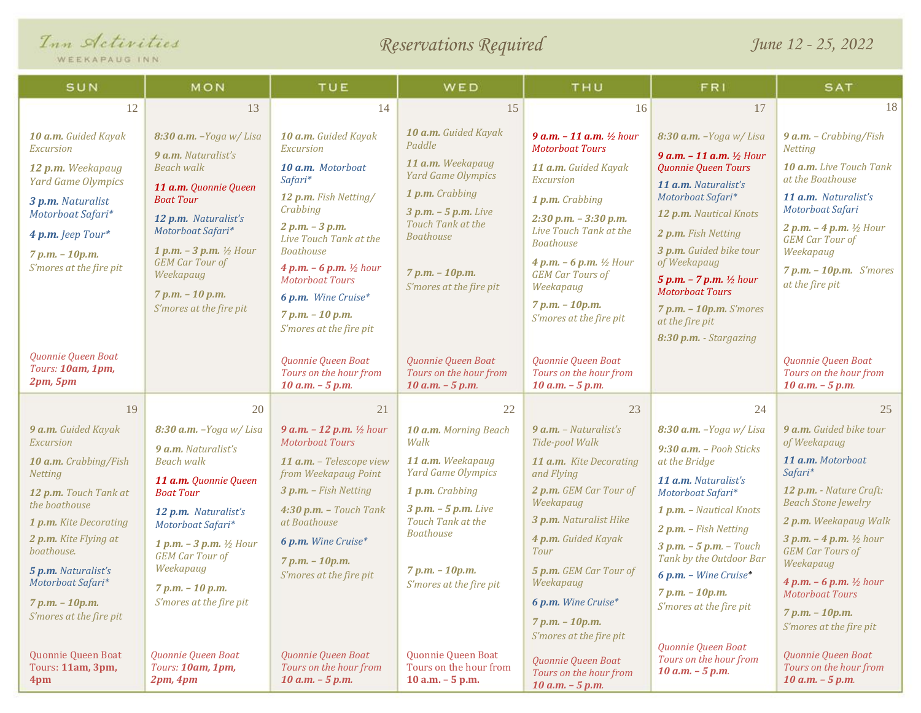| Inn Activities |  |
|----------------|--|
|----------------|--|

WEEKAPAUG INN

# *Reservations Required*

*June 12 - 25, 2022*

| <i>MEEUWLWOG IMM</i>                                                                                                                                                                                                                                                                |                                                                                                                                                                                                                                                                                                 |                                                                                                                                                                                                                                                                                                                    |                                                                                                                                                                                                                         |                                                                                                                                                                                                                                                                                                                              |                                                                                                                                                                                                                                                                                                                                                                                |                                                                                                                                                                                                                                                                                                                                                          |
|-------------------------------------------------------------------------------------------------------------------------------------------------------------------------------------------------------------------------------------------------------------------------------------|-------------------------------------------------------------------------------------------------------------------------------------------------------------------------------------------------------------------------------------------------------------------------------------------------|--------------------------------------------------------------------------------------------------------------------------------------------------------------------------------------------------------------------------------------------------------------------------------------------------------------------|-------------------------------------------------------------------------------------------------------------------------------------------------------------------------------------------------------------------------|------------------------------------------------------------------------------------------------------------------------------------------------------------------------------------------------------------------------------------------------------------------------------------------------------------------------------|--------------------------------------------------------------------------------------------------------------------------------------------------------------------------------------------------------------------------------------------------------------------------------------------------------------------------------------------------------------------------------|----------------------------------------------------------------------------------------------------------------------------------------------------------------------------------------------------------------------------------------------------------------------------------------------------------------------------------------------------------|
| SUN                                                                                                                                                                                                                                                                                 | MON                                                                                                                                                                                                                                                                                             | TUE                                                                                                                                                                                                                                                                                                                | WED                                                                                                                                                                                                                     | THU                                                                                                                                                                                                                                                                                                                          | <b>FRI</b>                                                                                                                                                                                                                                                                                                                                                                     | <b>SAT</b>                                                                                                                                                                                                                                                                                                                                               |
| 12                                                                                                                                                                                                                                                                                  | 13                                                                                                                                                                                                                                                                                              | 14                                                                                                                                                                                                                                                                                                                 | 15                                                                                                                                                                                                                      | 16                                                                                                                                                                                                                                                                                                                           | 17                                                                                                                                                                                                                                                                                                                                                                             | 18                                                                                                                                                                                                                                                                                                                                                       |
| 10 a.m. Guided Kayak<br>Excursion<br>12 p.m. Weekapaug<br><b>Yard Game Olympics</b><br>3 p.m. Naturalist<br>Motorboat Safari*<br>4 p.m. Jeep Tour*<br>7 p.m. - 10p.m.<br>S'mores at the fire pit                                                                                    | $8:30$ a.m. $-Yoga$ w/ Lisa<br>9 a.m. Naturalist's<br><b>Beach walk</b><br>11 a.m. Quonnie Queen<br><b>Boat Tour</b><br>12 p.m. Naturalist's<br>Motorboat Safari*<br>1 p.m. $-$ 3 p.m. $\frac{1}{2}$ Hour<br><b>GEM Car Tour of</b><br>Weekapaug<br>7 p.m. - 10 p.m.<br>S'mores at the fire pit | 10 a.m. Guided Kayak<br>Excursion<br>10 a.m. Motorboat<br>Safari*<br>12 p.m. Fish Netting/<br>Crabbing<br>$2 p.m. - 3 p.m.$<br>Live Touch Tank at the<br><b>Boathouse</b><br>4 p.m. $-6$ p.m. $\frac{1}{2}$ hour<br><b>Motorboat Tours</b><br>6 p.m. Wine Cruise*<br>$7 p.m. - 10 p.m.$<br>S'mores at the fire pit | 10 a.m. Guided Kayak<br>Paddle<br>11 a.m. Weekapaug<br><b>Yard Game Olympics</b><br>1 p.m. Crabbing<br>$3 p.m. - 5 p.m.$ Live<br>Touch Tank at the<br><b>Boathouse</b><br>$7 p.m. - 10 p.m.$<br>S'mores at the fire pit | 9 $a.m. - 11 a.m.$ ½ hour<br><b>Motorboat Tours</b><br>11 a.m. Guided Kayak<br><b>Excursion</b><br>1 p.m. Crabbing<br>$2:30$ p.m. $-3:30$ p.m.<br>Live Touch Tank at the<br><b>Boathouse</b><br>4 p.m. $-6$ p.m. $\frac{1}{2}$ Hour<br><b>GEM Car Tours of</b><br>Weekapaug<br>$7 p.m. - 10 p.m.$<br>S'mores at the fire pit | 8:30 a.m. - Yoga w/ Lisa<br>9 $a.m. - 11 a.m.$ $\frac{1}{2}$ Hour<br>Quonnie Queen Tours<br>11 a.m. Naturalist's<br>Motorboat Safari*<br>12 p.m. Nautical Knots<br>2 p.m. Fish Netting<br>3 p.m. Guided bike tour<br>of Weekapaug<br>5 p.m. $- 7$ p.m. $\frac{1}{2}$ hour<br><b>Motorboat Tours</b><br>$7 p.m. - 10 p.m.$ S'mores<br>at the fire pit<br>8:30 p.m. - Stargazing | <b>9 a.m.</b> - Crabbing/Fish<br><b>Netting</b><br>10 a.m. Live Touch Tank<br>at the Boathouse<br>11 a.m. Naturalist's<br>Motorboat Safari<br>2 p.m. $-$ 4 p.m. $\frac{1}{2}$ Hour<br><b>GEM Car Tour of</b><br>Weekapaug<br>$7 p.m. - 10 p.m.$ S'mores<br>at the fire pit                                                                               |
| Quonnie Queen Boat<br>Tours: 10am, 1pm,<br>2pm, 5pm                                                                                                                                                                                                                                 |                                                                                                                                                                                                                                                                                                 | Quonnie Queen Boat<br>Tours on the hour from<br>$10 a.m. - 5 p.m.$                                                                                                                                                                                                                                                 | Quonnie Queen Boat<br>Tours on the hour from<br>$10 a.m. - 5 p.m.$                                                                                                                                                      | Quonnie Queen Boat<br>Tours on the hour from<br>$10 a.m. - 5 p.m.$                                                                                                                                                                                                                                                           |                                                                                                                                                                                                                                                                                                                                                                                | Quonnie Queen Boat<br>Tours on the hour from<br>$10 a.m. - 5 p.m.$                                                                                                                                                                                                                                                                                       |
| 19                                                                                                                                                                                                                                                                                  | 20                                                                                                                                                                                                                                                                                              | 21                                                                                                                                                                                                                                                                                                                 | 22                                                                                                                                                                                                                      | 23                                                                                                                                                                                                                                                                                                                           | 24                                                                                                                                                                                                                                                                                                                                                                             | 25                                                                                                                                                                                                                                                                                                                                                       |
| 9 a.m. Guided Kayak<br>Excursion<br>10 a.m. Crabbing/Fish<br><b>Netting</b><br>12 p.m. Touch Tank at<br>the boathouse<br>1 p.m. Kite Decorating<br>2 p.m. Kite Flying at<br>boathouse.<br>5 p.m. Naturalist's<br>Motorboat Safari*<br>$7 p.m. - 10 p.m.$<br>S'mores at the fire pit | $8:30$ a.m. $-Yoga$ w/ Lisa<br>9 a.m. Naturalist's<br><b>Beach walk</b><br>11 a.m. Quonnie Queen<br><b>Boat Tour</b><br>12 p.m. Naturalist's<br>Motorboat Safari*<br>1 p.m. $-$ 3 p.m. $\frac{1}{2}$ Hour<br><b>GEM</b> Car Tour of<br>Weekapaug<br>7 p.m. - 10 p.m.<br>S'mores at the fire pit | <b>9 a.m.</b> $-$ <b>12 p.m.</b> $\frac{1}{2}$ hour<br><b>Motorboat Tours</b><br>11 a.m. - Telescope view<br>from Weekapaug Point<br>3 p.m. - Fish Netting<br>$4:30$ p.m. - Touch Tank<br>at Boathouse<br>6 p.m. Wine Cruise*<br>$7 p.m. - 10 p.m.$<br>S'mores at the fire pit                                     | 10 a.m. Morning Beach<br>Walk<br>11 a.m. Weekapaug<br><b>Yard Game Olympics</b><br>1 p.m. Crabbing<br>$3 p.m. - 5 p.m.$ Live<br>Touch Tank at the<br><b>Boathouse</b><br>$7 p.m. - 10 p.m.$<br>S'mores at the fire pit  | $9$ a.m. - Naturalist's<br>Tide-pool Walk<br>11 a.m. Kite Decorating<br>and Flying<br>2 p.m. GEM Car Tour of<br>Weekapaug<br>3 p.m. Naturalist Hike<br>4 p.m. Guided Kayak<br>Tour<br>5 p.m. GEM Car Tour of<br>Weekapaug<br>6 p.m. Wine Cruise*<br>$7 p.m. - 10 p.m.$<br>S'mores at the fire pit                            | $8:30$ a.m. $-Yoga$ w/ Lisa<br>9:30 a.m. - Pooh Sticks<br>at the Bridge<br>11 a.m. Naturalist's<br>Motorboat Safari*<br>1 p.m. - Nautical Knots<br>2 p.m. - Fish Netting<br>$3 p.m. - 5 p.m. - Touch$<br>Tank by the Outdoor Bar<br>6 p.m. - Wine Cruise*<br>$7 p.m. - 10 p.m.$<br>S'mores at the fire pit                                                                     | 9 a.m. Guided bike tour<br>of Weekapaug<br>11 a.m. Motorboat<br>Safari*<br>12 p.m. - Nature Craft:<br><b>Beach Stone Jewelry</b><br>2 p.m. Weekapaug Walk<br>3 p.m. $-$ 4 p.m. $\frac{1}{2}$ hour<br><b>GEM Car Tours of</b><br>Weekapaug<br>4 p.m. $-6$ p.m. $\frac{1}{2}$ hour<br><b>Motorboat Tours</b><br>7 p.m. - 10p.m.<br>S'mores at the fire pit |
| Quonnie Queen Boat<br>Tours: 11am, 3pm,<br>4pm                                                                                                                                                                                                                                      | Quonnie Queen Boat<br>Tours: 10am, 1pm,<br>2pm, 4pm                                                                                                                                                                                                                                             | Quonnie Queen Boat<br>Tours on the hour from<br>$10 a.m. - 5 p.m.$                                                                                                                                                                                                                                                 | Quonnie Queen Boat<br>Tours on the hour from<br>$10$ a.m. $-5$ p.m.                                                                                                                                                     | Quonnie Queen Boat<br>Tours on the hour from<br>$10 a.m. - 5 p.m.$                                                                                                                                                                                                                                                           | Quonnie Queen Boat<br>Tours on the hour from<br>$10 a.m. - 5 p.m.$                                                                                                                                                                                                                                                                                                             | Quonnie Queen Boat<br>Tours on the hour from<br>$10$ a.m. $-5$ p.m.                                                                                                                                                                                                                                                                                      |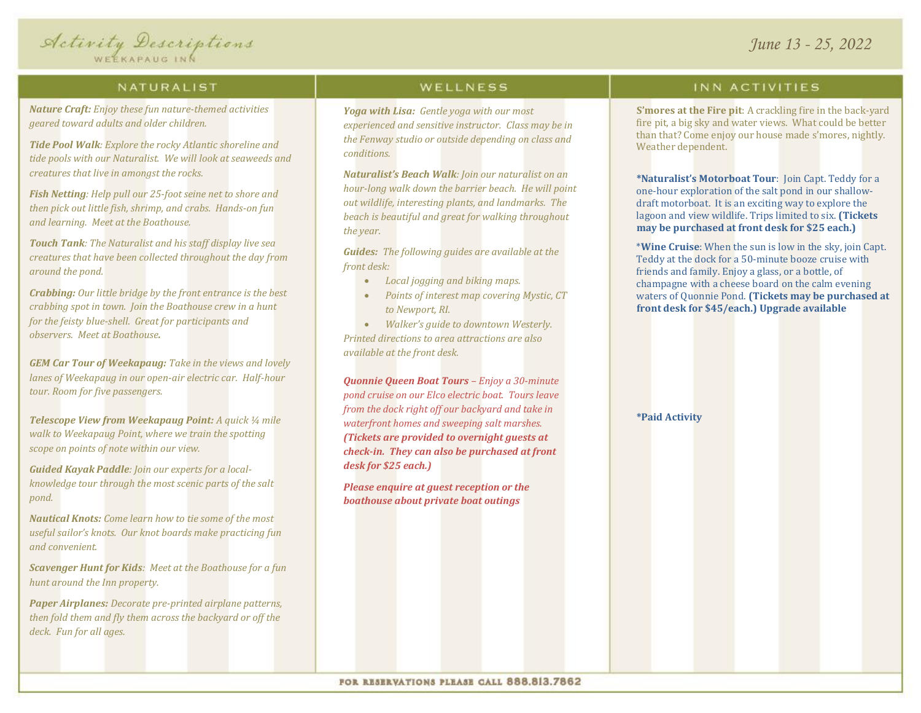

#### NATURALIST

*Nature Craft: Enjoy these fun nature-themed activities geared toward adults and older children.*

*Tide Pool Walk: Explore the rocky Atlantic shoreline and tide pools with our Naturalist. We will look at seaweeds and creatures that live in amongst the rocks.*

*Fish Netting: Help pull our 25-foot seine net to shore and then pick out little fish, shrimp, and crabs. Hands-on fun and learning. Meet at the Boathouse.*

*Touch Tank: The Naturalist and his staff display live sea creatures that have been collected throughout the day from around the pond.*

*Crabbing: Our little bridge by the front entrance is the best crabbing spot in town. Join the Boathouse crew in a hunt for the feisty blue-shell. Great for participants and observers. Meet at Boathouse.*

*GEM Car Tour of Weekapaug: Take in the views and lovely lanes of Weekapaug in our open-air electric car. Half-hour tour. Room for five passengers.*

*Telescope View from Weekapaug Point: A quick ¼ mile walk to Weekapaug Point, where we train the spotting scope on points of note within our view.* 

*Guided Kayak Paddle: Join our experts for a localknowledge tour through the most scenic parts of the salt pond.*

*Nautical Knots: Come learn how to tie some of the most useful sailor's knots. Our knot boards make practicing fun and convenient.*

*Scavenger Hunt for Kids: Meet at the Boathouse for a fun hunt around the Inn property.*

*Paper Airplanes: Decorate pre-printed airplane patterns, then fold them and fly them across the backyard or off the deck. Fun for all ages.*

### WELLNESS

*Yoga with Lisa: Gentle yoga with our most experienced and sensitive instructor. Class may be in the Fenway studio or outside depending on class and conditions.*

*Naturalist's Beach Walk: Join our naturalist on an hour-long walk down the barrier beach. He will point out wildlife, interesting plants, and landmarks. The beach is beautiful and great for walking throughout the year.*

*Guides: The following guides are available at the front desk:*

- *Local jogging and biking maps.*
- *Points of interest map covering Mystic, CT to Newport, RI.*

• *Walker's guide to downtown Westerly. Printed directions to area attractions are also available at the front desk.*

*Quonnie Queen Boat Tours – Enjoy a 30-minute pond cruise on our Elco electric boat. Tours leave from the dock right off our backyard and take in waterfront homes and sweeping salt marshes. (Tickets are provided to overnight guests at check-in. They can also be purchased at front desk for \$25 each.)*

*Please enquire at guest reception or the boathouse about private boat outings*

#### INN ACTIVITIES

**S'mores at the Fire pit**: A crackling fire in the back-yard fire pit, a big sky and water views. What could be better than that? Come enjoy our house made s'mores, nightly. Weather dependent.

**\*Naturalist's Motorboat Tour**: Join Capt. Teddy for a one-hour exploration of the salt pond in our shallowdraft motorboat. It is an exciting way to explore the lagoon and view wildlife. Trips limited to six. **(Tickets may be purchased at front desk for \$25 each.)**

\***Wine Cruise**: When the sun is low in the sky, join Capt. Teddy at the dock for a 50-minute booze cruise with friends and family. Enjoy a glass, or a bottle, of champagne with a cheese board on the calm evening waters of Quonnie Pond. **(Tickets may be purchased at front desk for \$45/each.) Upgrade available** 

#### **\*Paid Activity**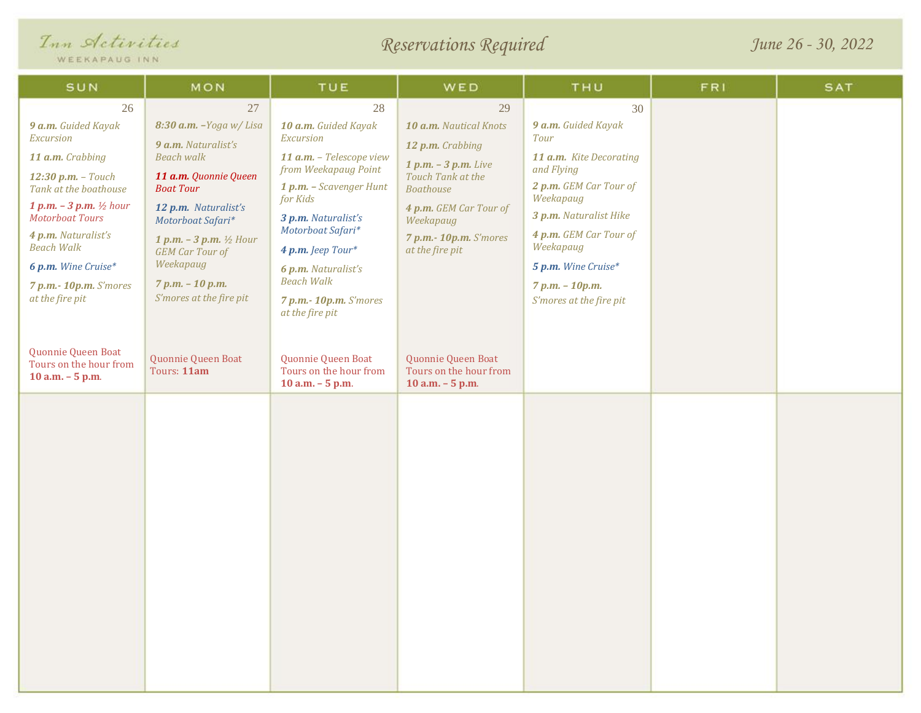| Inn Activities<br>WEEKAPAUG INN                                                                                                                                                                                                                                                                                     |                                                                                                                                                                                                                                                                                                           | Reservations Required                                                                                                                                                                                                                                                                        |                                                                                                                                                                                                         |                                                                                                                                                                                                                                                            | June 26 - 30, 2022 |            |  |
|---------------------------------------------------------------------------------------------------------------------------------------------------------------------------------------------------------------------------------------------------------------------------------------------------------------------|-----------------------------------------------------------------------------------------------------------------------------------------------------------------------------------------------------------------------------------------------------------------------------------------------------------|----------------------------------------------------------------------------------------------------------------------------------------------------------------------------------------------------------------------------------------------------------------------------------------------|---------------------------------------------------------------------------------------------------------------------------------------------------------------------------------------------------------|------------------------------------------------------------------------------------------------------------------------------------------------------------------------------------------------------------------------------------------------------------|--------------------|------------|--|
| SUN                                                                                                                                                                                                                                                                                                                 | MON                                                                                                                                                                                                                                                                                                       | TUE                                                                                                                                                                                                                                                                                          | WED                                                                                                                                                                                                     | THU                                                                                                                                                                                                                                                        | <b>FRI</b>         | <b>SAT</b> |  |
| 26<br>9 a.m. Guided Kayak<br>Excursion<br>11 a.m. Crabbing<br>$12:30$ p.m. - Touch<br>Tank at the boathouse<br>1 p.m. $-$ 3 p.m. $\frac{1}{2}$ hour<br><b>Motorboat Tours</b><br>4 p.m. Naturalist's<br><b>Beach Walk</b><br>6 p.m. Wine Cruise*<br>7 p.m.- 10p.m. S'mores<br>at the fire pit<br>Quonnie Queen Boat | 27<br>8:30 a.m. - Yoga w/ Lisa<br>9 a.m. Naturalist's<br><b>Beach walk</b><br>11 a.m. Quonnie Queen<br><b>Boat Tour</b><br>12 p.m. Naturalist's<br>Motorboat Safari*<br><b>1 p.m.</b> $-$ 3 p.m. $\frac{1}{2}$ Hour<br><b>GEM Car Tour of</b><br>Weekapaug<br>7 p.m. - 10 p.m.<br>S'mores at the fire pit | 28<br>10 a.m. Guided Kayak<br>Excursion<br>11 a.m. - Telescope view<br>from Weekapaug Point<br>1 p.m. - Scavenger Hunt<br>for Kids<br>3 p.m. Naturalist's<br>Motorboat Safari*<br>4 p.m. Jeep Tour*<br>6 p.m. Naturalist's<br><b>Beach Walk</b><br>7 p.m.- 10p.m. S'mores<br>at the fire pit | 29<br>10 a.m. Nautical Knots<br>12 p.m. Crabbing<br>$1 p.m. - 3 p.m.$ Live<br>Touch Tank at the<br><b>Boathouse</b><br>4 p.m. GEM Car Tour of<br>Weekapaug<br>7 p.m.- 10p.m. S'mores<br>at the fire pit | 30<br>9 a.m. Guided Kayak<br>Tour<br>11 a.m. Kite Decorating<br>and Flying<br>2 p.m. GEM Car Tour of<br>Weekapaug<br>3 p.m. Naturalist Hike<br>4 p.m. GEM Car Tour of<br>Weekapaug<br>5 p.m. Wine Cruise*<br>$7 p.m. - 10 p.m.$<br>S'mores at the fire pit |                    |            |  |
| Tours on the hour from<br>10 a.m. - 5 p.m.                                                                                                                                                                                                                                                                          | Quonnie Queen Boat<br>Tours: 11am                                                                                                                                                                                                                                                                         | Quonnie Queen Boat<br>Tours on the hour from<br>$10$ a.m. $-5$ p.m.                                                                                                                                                                                                                          | Quonnie Queen Boat<br>Tours on the hour from<br>10 a.m. - 5 p.m.                                                                                                                                        |                                                                                                                                                                                                                                                            |                    |            |  |